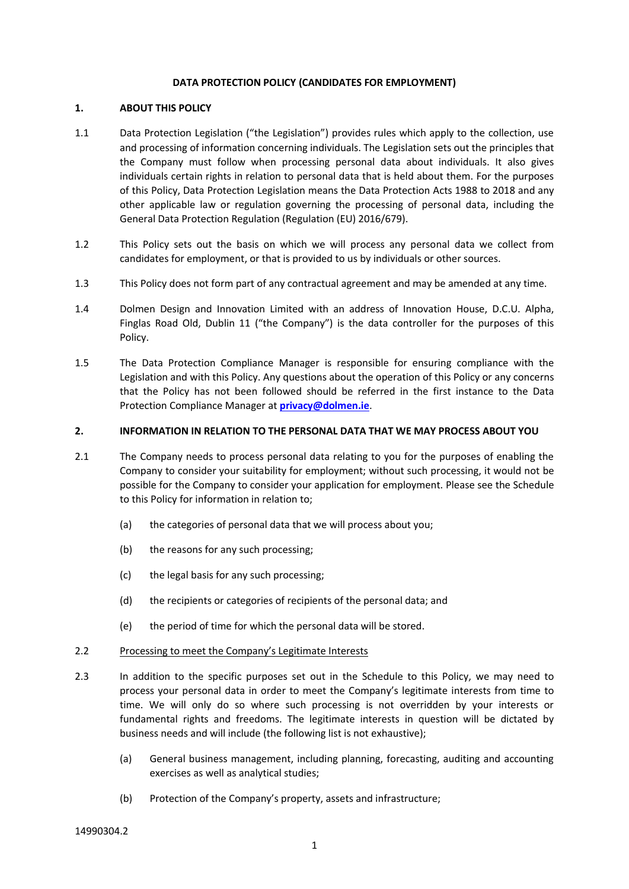#### **DATA PROTECTION POLICY (CANDIDATES FOR EMPLOYMENT)**

## **1. ABOUT THIS POLICY**

- 1.1 Data Protection Legislation ("the Legislation") provides rules which apply to the collection, use and processing of information concerning individuals. The Legislation sets out the principles that the Company must follow when processing personal data about individuals. It also gives individuals certain rights in relation to personal data that is held about them. For the purposes of this Policy, Data Protection Legislation means the Data Protection Acts 1988 to 2018 and any other applicable law or regulation governing the processing of personal data, including the General Data Protection Regulation (Regulation (EU) 2016/679).
- 1.2 This Policy sets out the basis on which we will process any personal data we collect from candidates for employment, or that is provided to us by individuals or other sources.
- 1.3 This Policy does not form part of any contractual agreement and may be amended at any time.
- 1.4 Dolmen Design and Innovation Limited with an address of Innovation House, D.C.U. Alpha, Finglas Road Old, Dublin 11 ("the Company") is the data controller for the purposes of this Policy.
- 1.5 The Data Protection Compliance Manager is responsible for ensuring compliance with the Legislation and with this Policy. Any questions about the operation of this Policy or any concerns that the Policy has not been followed should be referred in the first instance to the Data Protection Compliance Manager at **[privacy@dolmen.ie](mailto:privacy@dolmen.ie)**.

## **2. INFORMATION IN RELATION TO THE PERSONAL DATA THAT WE MAY PROCESS ABOUT YOU**

- 2.1 The Company needs to process personal data relating to you for the purposes of enabling the Company to consider your suitability for employment; without such processing, it would not be possible for the Company to consider your application for employment. Please see the Schedule to this Policy for information in relation to;
	- (a) the categories of personal data that we will process about you;
	- (b) the reasons for any such processing;
	- (c) the legal basis for any such processing;
	- (d) the recipients or categories of recipients of the personal data; and
	- (e) the period of time for which the personal data will be stored.
- 2.2 Processing to meet the Company's Legitimate Interests
- 2.3 In addition to the specific purposes set out in the Schedule to this Policy, we may need to process your personal data in order to meet the Company's legitimate interests from time to time. We will only do so where such processing is not overridden by your interests or fundamental rights and freedoms. The legitimate interests in question will be dictated by business needs and will include (the following list is not exhaustive);
	- (a) General business management, including planning, forecasting, auditing and accounting exercises as well as analytical studies;
	- (b) Protection of the Company's property, assets and infrastructure;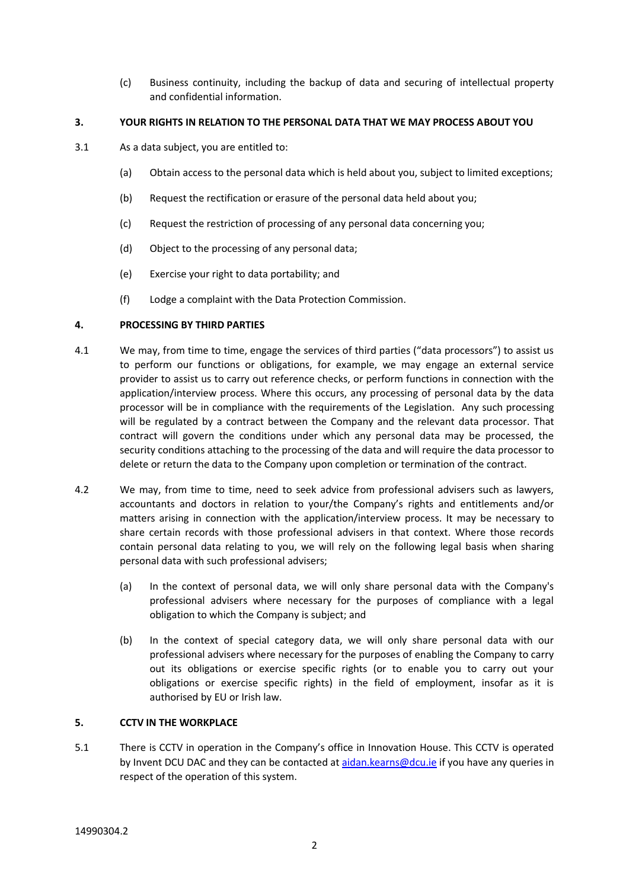(c) Business continuity, including the backup of data and securing of intellectual property and confidential information.

## **3. YOUR RIGHTS IN RELATION TO THE PERSONAL DATA THAT WE MAY PROCESS ABOUT YOU**

- 3.1 As a data subject, you are entitled to:
	- (a) Obtain access to the personal data which is held about you, subject to limited exceptions;
	- (b) Request the rectification or erasure of the personal data held about you;
	- (c) Request the restriction of processing of any personal data concerning you;
	- (d) Object to the processing of any personal data;
	- (e) Exercise your right to data portability; and
	- (f) Lodge a complaint with the Data Protection Commission.

## **4. PROCESSING BY THIRD PARTIES**

- 4.1 We may, from time to time, engage the services of third parties ("data processors") to assist us to perform our functions or obligations, for example, we may engage an external service provider to assist us to carry out reference checks, or perform functions in connection with the application/interview process. Where this occurs, any processing of personal data by the data processor will be in compliance with the requirements of the Legislation. Any such processing will be regulated by a contract between the Company and the relevant data processor. That contract will govern the conditions under which any personal data may be processed, the security conditions attaching to the processing of the data and will require the data processor to delete or return the data to the Company upon completion or termination of the contract.
- 4.2 We may, from time to time, need to seek advice from professional advisers such as lawyers, accountants and doctors in relation to your/the Company's rights and entitlements and/or matters arising in connection with the application/interview process. It may be necessary to share certain records with those professional advisers in that context. Where those records contain personal data relating to you, we will rely on the following legal basis when sharing personal data with such professional advisers;
	- (a) In the context of personal data, we will only share personal data with the Company's professional advisers where necessary for the purposes of compliance with a legal obligation to which the Company is subject; and
	- (b) In the context of special category data, we will only share personal data with our professional advisers where necessary for the purposes of enabling the Company to carry out its obligations or exercise specific rights (or to enable you to carry out your obligations or exercise specific rights) in the field of employment, insofar as it is authorised by EU or Irish law.

# **5. CCTV IN THE WORKPLACE**

5.1 There is CCTV in operation in the Company's office in Innovation House. This CCTV is operated by Invent DCU DAC and they can be contacted at aidan.kearns@dcu.je if you have any queries in respect of the operation of this system.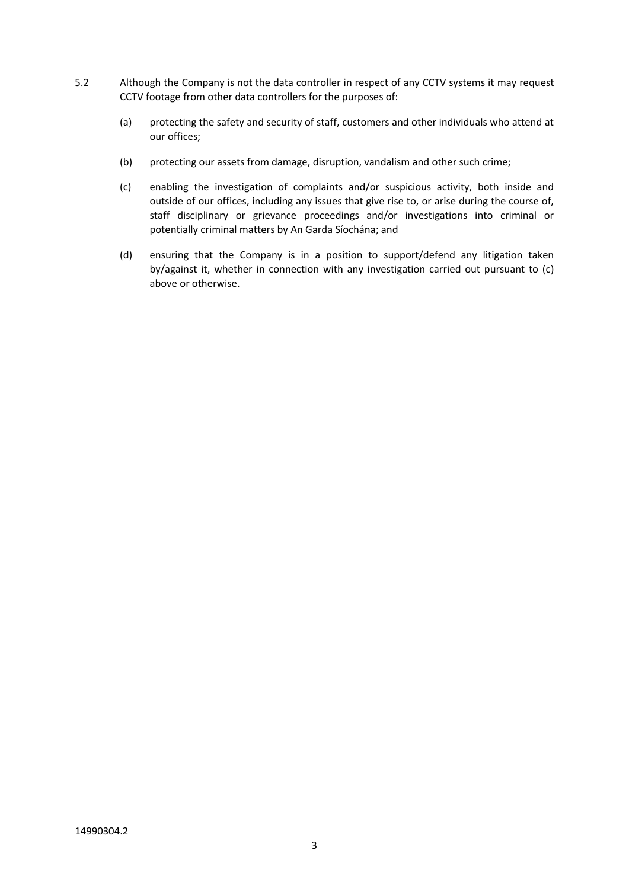- 5.2 Although the Company is not the data controller in respect of any CCTV systems it may request CCTV footage from other data controllers for the purposes of:
	- (a) protecting the safety and security of staff, customers and other individuals who attend at our offices;
	- (b) protecting our assets from damage, disruption, vandalism and other such crime;
	- (c) enabling the investigation of complaints and/or suspicious activity, both inside and outside of our offices, including any issues that give rise to, or arise during the course of, staff disciplinary or grievance proceedings and/or investigations into criminal or potentially criminal matters by An Garda Síochána; and
	- (d) ensuring that the Company is in a position to support/defend any litigation taken by/against it, whether in connection with any investigation carried out pursuant to (c) above or otherwise.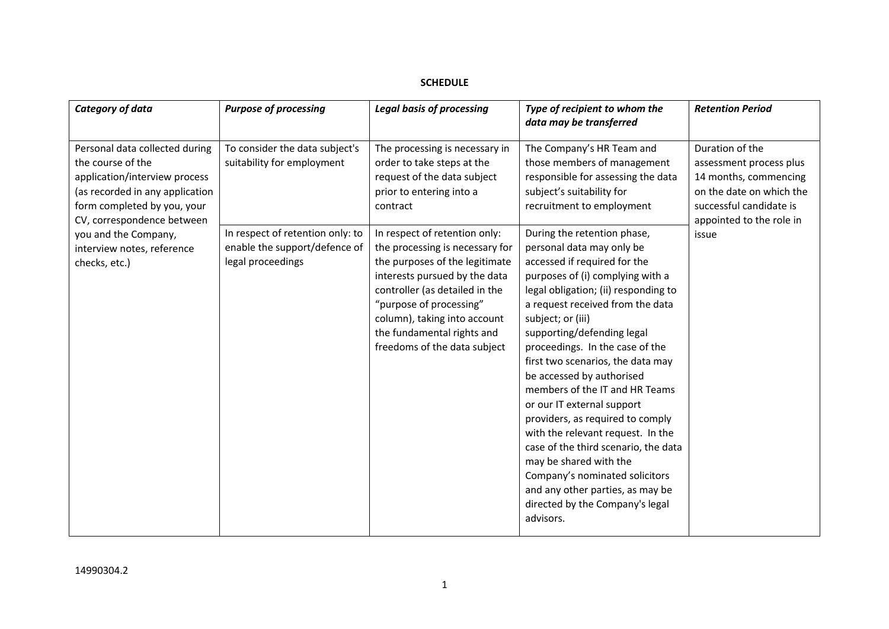# **SCHEDULE**

| Category of data                                                                                                                                                                                                                                            | <b>Purpose of processing</b>                                                                                                                           | <b>Legal basis of processing</b>                                                                                                                                                                                                                                                                                                                                                                                                      | Type of recipient to whom the<br>data may be transferred                                                                                                                                                                                                                                                                                                                                                                                                                                                                                                                                                                                                                                                                                                                                                                                         | <b>Retention Period</b>                                                                                                                                         |
|-------------------------------------------------------------------------------------------------------------------------------------------------------------------------------------------------------------------------------------------------------------|--------------------------------------------------------------------------------------------------------------------------------------------------------|---------------------------------------------------------------------------------------------------------------------------------------------------------------------------------------------------------------------------------------------------------------------------------------------------------------------------------------------------------------------------------------------------------------------------------------|--------------------------------------------------------------------------------------------------------------------------------------------------------------------------------------------------------------------------------------------------------------------------------------------------------------------------------------------------------------------------------------------------------------------------------------------------------------------------------------------------------------------------------------------------------------------------------------------------------------------------------------------------------------------------------------------------------------------------------------------------------------------------------------------------------------------------------------------------|-----------------------------------------------------------------------------------------------------------------------------------------------------------------|
| Personal data collected during<br>the course of the<br>application/interview process<br>(as recorded in any application<br>form completed by you, your<br>CV, correspondence between<br>you and the Company,<br>interview notes, reference<br>checks, etc.) | To consider the data subject's<br>suitability for employment<br>In respect of retention only: to<br>enable the support/defence of<br>legal proceedings | The processing is necessary in<br>order to take steps at the<br>request of the data subject<br>prior to entering into a<br>contract<br>In respect of retention only:<br>the processing is necessary for<br>the purposes of the legitimate<br>interests pursued by the data<br>controller (as detailed in the<br>"purpose of processing"<br>column), taking into account<br>the fundamental rights and<br>freedoms of the data subject | The Company's HR Team and<br>those members of management<br>responsible for assessing the data<br>subject's suitability for<br>recruitment to employment<br>During the retention phase,<br>personal data may only be<br>accessed if required for the<br>purposes of (i) complying with a<br>legal obligation; (ii) responding to<br>a request received from the data<br>subject; or (iii)<br>supporting/defending legal<br>proceedings. In the case of the<br>first two scenarios, the data may<br>be accessed by authorised<br>members of the IT and HR Teams<br>or our IT external support<br>providers, as required to comply<br>with the relevant request. In the<br>case of the third scenario, the data<br>may be shared with the<br>Company's nominated solicitors<br>and any other parties, as may be<br>directed by the Company's legal | Duration of the<br>assessment process plus<br>14 months, commencing<br>on the date on which the<br>successful candidate is<br>appointed to the role in<br>issue |
|                                                                                                                                                                                                                                                             |                                                                                                                                                        |                                                                                                                                                                                                                                                                                                                                                                                                                                       | advisors.                                                                                                                                                                                                                                                                                                                                                                                                                                                                                                                                                                                                                                                                                                                                                                                                                                        |                                                                                                                                                                 |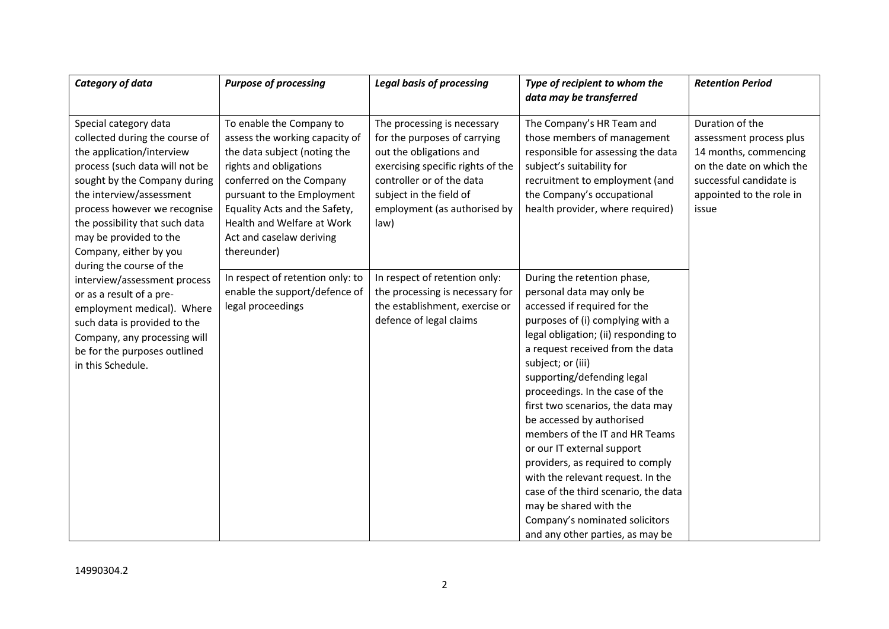| Category of data                                                                                                                                                                                                                                                                                                                     | <b>Purpose of processing</b>                                                                                                                                                                                                                                                             | <b>Legal basis of processing</b>                                                                                                                                                                                            | Type of recipient to whom the                                                                                                                                                                                                                                                                                                                                                                                                                                                                                                                                                                                                                     | <b>Retention Period</b>                                                                                                                                         |
|--------------------------------------------------------------------------------------------------------------------------------------------------------------------------------------------------------------------------------------------------------------------------------------------------------------------------------------|------------------------------------------------------------------------------------------------------------------------------------------------------------------------------------------------------------------------------------------------------------------------------------------|-----------------------------------------------------------------------------------------------------------------------------------------------------------------------------------------------------------------------------|---------------------------------------------------------------------------------------------------------------------------------------------------------------------------------------------------------------------------------------------------------------------------------------------------------------------------------------------------------------------------------------------------------------------------------------------------------------------------------------------------------------------------------------------------------------------------------------------------------------------------------------------------|-----------------------------------------------------------------------------------------------------------------------------------------------------------------|
|                                                                                                                                                                                                                                                                                                                                      |                                                                                                                                                                                                                                                                                          |                                                                                                                                                                                                                             | data may be transferred                                                                                                                                                                                                                                                                                                                                                                                                                                                                                                                                                                                                                           |                                                                                                                                                                 |
| Special category data<br>collected during the course of<br>the application/interview<br>process (such data will not be<br>sought by the Company during<br>the interview/assessment<br>process however we recognise<br>the possibility that such data<br>may be provided to the<br>Company, either by you<br>during the course of the | To enable the Company to<br>assess the working capacity of<br>the data subject (noting the<br>rights and obligations<br>conferred on the Company<br>pursuant to the Employment<br>Equality Acts and the Safety,<br>Health and Welfare at Work<br>Act and caselaw deriving<br>thereunder) | The processing is necessary<br>for the purposes of carrying<br>out the obligations and<br>exercising specific rights of the<br>controller or of the data<br>subject in the field of<br>employment (as authorised by<br>law) | The Company's HR Team and<br>those members of management<br>responsible for assessing the data<br>subject's suitability for<br>recruitment to employment (and<br>the Company's occupational<br>health provider, where required)                                                                                                                                                                                                                                                                                                                                                                                                                   | Duration of the<br>assessment process plus<br>14 months, commencing<br>on the date on which the<br>successful candidate is<br>appointed to the role in<br>issue |
| interview/assessment process<br>or as a result of a pre-<br>employment medical). Where<br>such data is provided to the<br>Company, any processing will<br>be for the purposes outlined<br>in this Schedule.                                                                                                                          | In respect of retention only: to<br>enable the support/defence of<br>legal proceedings                                                                                                                                                                                                   | In respect of retention only:<br>the processing is necessary for<br>the establishment, exercise or<br>defence of legal claims                                                                                               | During the retention phase,<br>personal data may only be<br>accessed if required for the<br>purposes of (i) complying with a<br>legal obligation; (ii) responding to<br>a request received from the data<br>subject; or (iii)<br>supporting/defending legal<br>proceedings. In the case of the<br>first two scenarios, the data may<br>be accessed by authorised<br>members of the IT and HR Teams<br>or our IT external support<br>providers, as required to comply<br>with the relevant request. In the<br>case of the third scenario, the data<br>may be shared with the<br>Company's nominated solicitors<br>and any other parties, as may be |                                                                                                                                                                 |